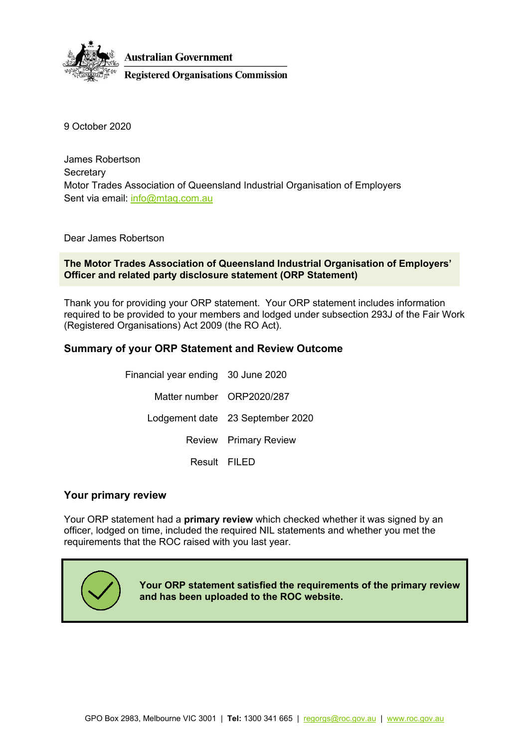

9 October 2020 9 October 2020

James Robertson James Robertson Secretary Secretary Motor Trades Association of Queensland Industrial Organisation of Employers Motor Trades Association of Queensland Industrial Organisation of Employers Sent via email: <u>info@mtaq.com.au</u>

Dear James Robertson Dear James Robertson

The Motor Trades Association of Queensland Industrial Organisation of Employers'<br>Officer and related party disclosure statement (ORP Statement) Officer and related party disclosure statement (ORP Statement)

Thank you for providing your ORP statement. Your ORP statement includes information Thank you for providing your ORP statement. Your ORP statement includes information required to be provided to your members and lodged under subsection 293J of the Fair Work<br>(Registered Organisations) Act 2009 (the RO Act). (Registered Organisations) Act 2009 (the RO Act).

### Summary of your ORP Statement and Review Outcome **Summary of your ORP Statement and Review Outcome**

Financial year ending 30 June 2020 Financial year ending 30 June 2020 Matter number ORP2020/287 Matter number ORP2020/287 Lodgement date 23 September 2020 Lodgement date 23 September 2020 Review Primary Review Review Primary Review Result FILED Result FILED

#### Your primary review **Your primary review**

Your ORP statement had a primary review which checked whether it was signed by an Your ORP statement had a **primary review** which checked whether it was signed by an officer, lodged on time, included the required NIL statements and whether you met the officer, lodged on time, included the required NIL statements and whether you met the requirements that the ROC raised with you last year. requirements that the ROC raised with you last year.



Your ORP statement satisfied the requirements of the primary review **Your ORP statement satisfied the requirements of the primary review and has been uploaded to the ROC website.** and has been uploaded to the ROC website.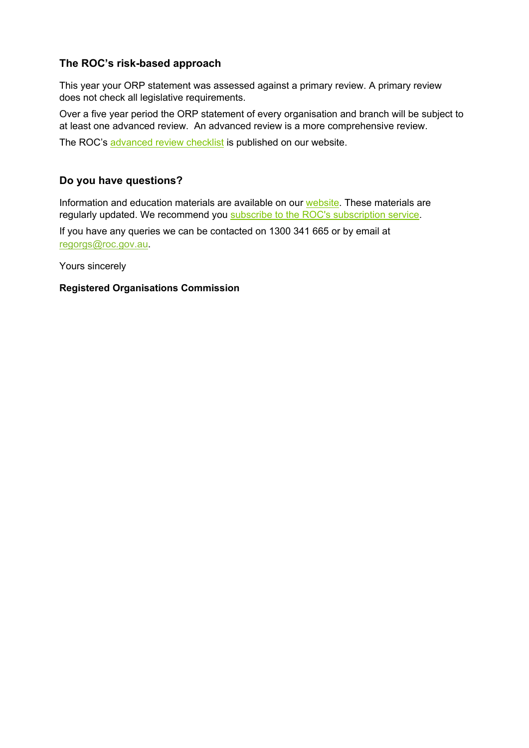### The ROC's risk-based approach **The ROC's risk-based approach**

This year your ORP statement was assessed against a primary review. A primary review This year your ORP statement was assessed against a primary review. A primary review does not check all legislative requirements. does not check all legislative requirements.

Over a five year period the ORP statement of every organisation and branch will be subject to at least one advanced review. An advanced review is a more comprehensive review. Over a five year period the ORP statement of every organisation and branch will be subject to<br>at least one advanced review. An advanced review is a more comprehensive review.<br>The ROC's <u>advanced review checklist</u> is publi

The ROC's advanced review checklist is published on our website.

### Do you have questions? **Do you have questions?**

Information and education materials are available on our [website.](https://www.roc.gov.au/) These materials are regularly updated. We recommend you [subscribe to the ROC's subscription service.](https://www.roc.gov.au/global/featured-content/website-information/email-updates)

If you have any queries we can be contacted on 1300 341 665 or by email at If you have any queries we can be contacted on 1300 341 665 or by email at <u>regorgs@roc.gov.au</u>

Yours sincerely Yours sincerely

#### Registered Organisations Commission **Registered Organisations Commission**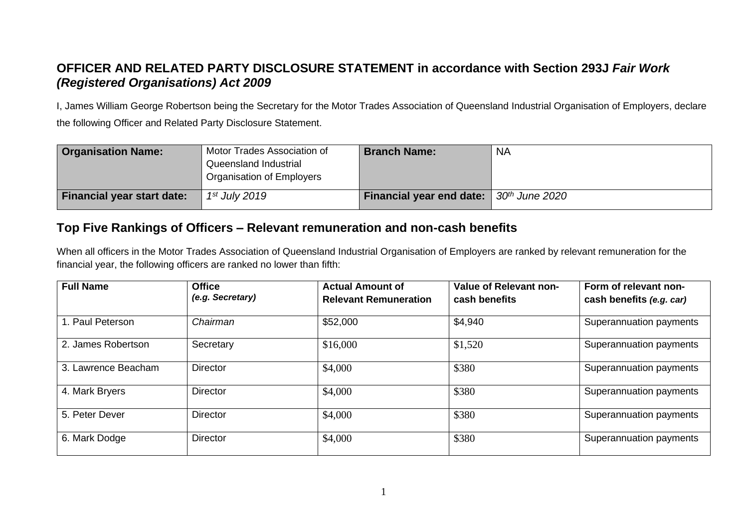## OFFICER AND RELATED PARTY DISCLOSURE STATEMENT in accordance with Section 293J Fair Work **OFFICER AND RELATED PARTY DISCLOSURE STATEMENT in accordance with Section 293J** *Fair Work*  (Registered Organisations) Act 2009 *(Registered Organisations) Act 2009*

I, James William George Robertson being the Secretary for the Motor Trades Association of Queensland Industrial Organisation of Employers, declare the following Officer and Related Party Disclosure Statement. the following Officer and Related Party Disclosure Statement.

| <b>Organisation Name:</b>         | Motor Trades Association of<br>Queensland Industrial<br>Organisation of Employers | <b>Branch Name:</b>                     | <b>NA</b> |
|-----------------------------------|-----------------------------------------------------------------------------------|-----------------------------------------|-----------|
| <b>Financial year start date:</b> | 1 <sup>st</sup> July 2019                                                         | Financial year end date: 30th June 2020 |           |

# Top Five Rankings of Officers — Relevant remuneration and non-cash benefits **Top Five Rankings of Officers – Relevant remuneration and non-cash benefits**

When all officers in the Motor Trades Association of Queensland Industrial Organisation of Employers are ranked by relevant remuneration for the<br>financial year, the following officers are ranked no lower than fifth: financial year, the following officers are ranked no lower than fifth:

| <b>Full Name</b>    | <b>Office</b>    | <b>Actual Amount of</b>      | Value of Relevant non- | Form of relevant non-    |  |
|---------------------|------------------|------------------------------|------------------------|--------------------------|--|
|                     | (e.g. Secretary) | <b>Relevant Remuneration</b> | cash benefits          | cash benefits (e.g. car) |  |
| . Paul Peterson     | Chairman         | \$52,000                     | \$4,940                | Superannuation payments  |  |
| 2. James Robertson  | Secretary        | \$16,000                     | \$1,520                | Superannuation payments  |  |
| 3. Lawrence Beacham | <b>Director</b>  | \$4,000                      | \$380                  | Superannuation payments  |  |
| 4. Mark Bryers      | Director         | \$4,000                      | \$380                  | Superannuation payments  |  |
| 5. Peter Dever      | <b>Director</b>  | \$4,000                      | \$380                  | Superannuation payments  |  |
| 6. Mark Dodge       | <b>Director</b>  | \$4,000                      | \$380                  | Superannuation payments  |  |